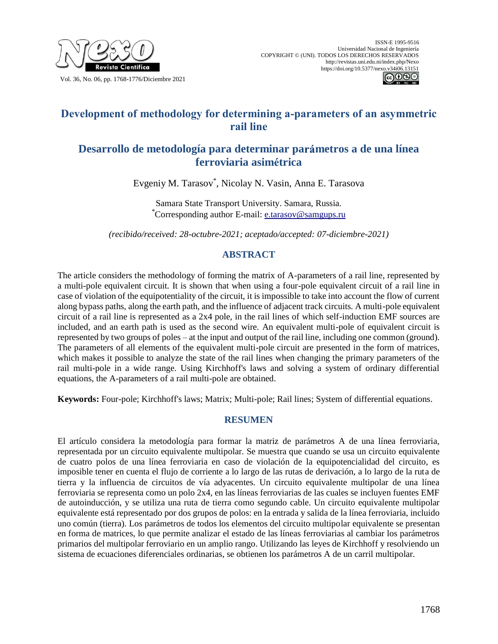



# **Development of methodology for determining a-parameters of an asymmetric rail line**

## **Desarrollo de metodología para determinar parámetros a de una línea ferroviaria asim trica**

Evgeniy M. Tarasov\* , Nicolay N. Vasin, Anna E. Tarasova

Samara State Transport University. Samara, Russia. \*Corresponding author E-mail: [e.tarasov@samgups.ru](mailto:e.tarasov@samgups.ru)

*(recibido/received: 28-octubre-2021; aceptado/accepted: 07-diciembre-2021)*

### **ABSTRACT**

The article considers the methodology of forming the matrix of A-parameters of a rail line, represented by a multi-pole equivalent circuit. It is shown that when using a four-pole equivalent circuit of a rail line in case of violation of the equipotentiality of the circuit, it is impossible to take into account the flow of current along bypass paths, along the earth path, and the influence of adjacent track circuits. A multi-pole equivalent circuit of a rail line is represented as a 2x4 pole, in the rail lines of which self-induction EMF sources are included, and an earth path is used as the second wire. An equivalent multi-pole of equivalent circuit is represented by two groups of poles – at the input and output of the rail line, including one common (ground). The parameters of all elements of the equivalent multi-pole circuit are presented in the form of matrices, which makes it possible to analyze the state of the rail lines when changing the primary parameters of the rail multi-pole in a wide range. Using Kirchhoff's laws and solving a system of ordinary differential equations, the A-parameters of a rail multi-pole are obtained.

**Keywords:** Four-pole; Kirchhoff's laws; Matrix; Multi-pole; Rail lines; System of differential equations.

### **RESUMEN**

El artículo considera la metodología para formar la matriz de parámetros A de una línea ferroviaria, representada por un circuito equivalente multipolar. Se muestra que cuando se usa un circuito equivalente de cuatro polos de una línea ferroviaria en caso de violación de la equipotencialidad del circuito, es imposible tener en cuenta el flujo de corriente a lo largo de las rutas de derivación, a lo largo de la ruta de tierra y la influencia de circuitos de vía adyacentes. Un circuito equivalente multipolar de una línea ferroviaria se representa como un polo 2x4, en las líneas ferroviarias de las cuales se incluyen fuentes EMF de autoinducción, y se utiliza una ruta de tierra como segundo cable. Un circuito equivalente multipolar equivalente está representado por dos grupos de polos: en la entrada y salida de la línea ferroviaria, incluido uno común (tierra). Los parámetros de todos los elementos del circuito multipolar equivalente se presentan en forma de matrices, lo que permite analizar el estado de las líneas ferroviarias al cambiar los parámetros primarios del multipolar ferroviario en un amplio rango. Utilizando las leyes de Kirchhoff y resolviendo un sistema de ecuaciones diferenciales ordinarias, se obtienen los parámetros A de un carril multipolar.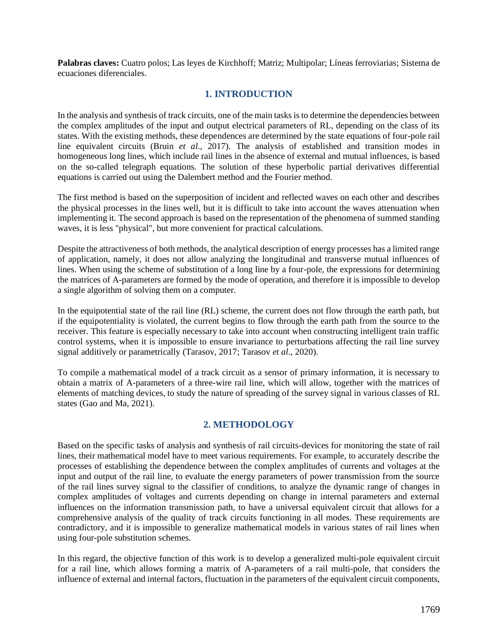**Palabras claves:** Cuatro polos; Las leyes de Kirchhoff; Matriz; Multipolar; Líneas ferroviarias; Sistema de ecuaciones diferenciales.

## **1. INTRODUCTION**

In the analysis and synthesis of track circuits, one of the main tasks is to determine the dependencies between the complex amplitudes of the input and output electrical parameters of RL, depending on the class of its states. With the existing methods, these dependences are determined by the state equations of four-pole rail line equivalent circuits (Bruin *et al*., 2017). The analysis of established and transition modes in homogeneous long lines, which include rail lines in the absence of external and mutual influences, is based on the so-called telegraph equations. The solution of these hyperbolic partial derivatives differential equations is carried out using the Dalembert method and the Fourier method.

The first method is based on the superposition of incident and reflected waves on each other and describes the physical processes in the lines well, but it is difficult to take into account the waves attenuation when implementing it. The second approach is based on the representation of the phenomena of summed standing waves, it is less "physical", but more convenient for practical calculations.

Despite the attractiveness of both methods, the analytical description of energy processes has a limited range of application, namely, it does not allow analyzing the longitudinal and transverse mutual influences of lines. When using the scheme of substitution of a long line by a four-pole, the expressions for determining the matrices of A-parameters are formed by the mode of operation, and therefore it is impossible to develop a single algorithm of solving them on a computer.

In the equipotential state of the rail line (RL) scheme, the current does not flow through the earth path, but if the equipotentiality is violated, the current begins to flow through the earth path from the source to the receiver. This feature is especially necessary to take into account when constructing intelligent train traffic control systems, when it is impossible to ensure invariance to perturbations affecting the rail line survey signal additively or parametrically (Tarasov, 2017; Tarasov *et al*., 2020).

To compile a mathematical model of a track circuit as a sensor of primary information, it is necessary to obtain a matrix of A-parameters of a three-wire rail line, which will allow, together with the matrices of elements of matching devices, to study the nature of spreading of the survey signal in various classes of RL states (Gao and Ma, 2021).

### **2. METHODOLOGY**

Based on the specific tasks of analysis and synthesis of rail circuits-devices for monitoring the state of rail lines, their mathematical model have to meet various requirements. For example, to accurately describe the processes of establishing the dependence between the complex amplitudes of currents and voltages at the input and output of the rail line, to evaluate the energy parameters of power transmission from the source of the rail lines survey signal to the classifier of conditions, to analyze the dynamic range of changes in complex amplitudes of voltages and currents depending on change in internal parameters and external influences on the information transmission path, to have a universal equivalent circuit that allows for a comprehensive analysis of the quality of track circuits functioning in all modes. These requirements are contradictory, and it is impossible to generalize mathematical models in various states of rail lines when using four-pole substitution schemes.

In this regard, the objective function of this work is to develop a generalized multi-pole equivalent circuit for a rail line, which allows forming a matrix of A-parameters of a rail multi-pole, that considers the influence of external and internal factors, fluctuation in the parameters of the equivalent circuit components,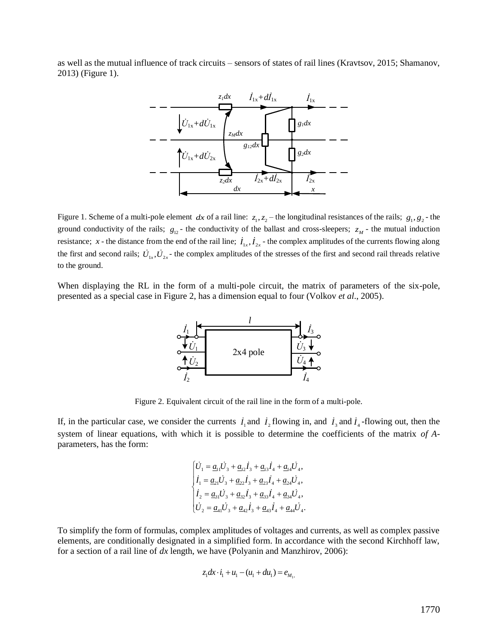as well as the mutual influence of track circuits – sensors of states of rail lines (Kravtsov, 2015; Shamanov, 2013) (Figure 1).



Figure 1. Scheme of a multi-pole element dx of a rail line:  $z_1$ ,  $z_2$  – the longitudinal resistances of the rails;  $g_1$ ,  $g_2$  - the ground conductivity of the rails;  $g_{12}$ - the conductivity of the ballast and cross-sleepers;  $z_M$ - the mutual induction resistance;  $x$  - the distance from the end of the rail line;  $\dot{I}_{1x}$ ,  $\dot{I}_{2x}$  - the complex amplitudes of the currents flowing along the first and second rails;  $U_{1x}$ ,  $U_{2x}$  the complex amplitudes of the stresses of the first and second rail threads relative to the ground.

When displaying the RL in the form of a multi-pole circuit, the matrix of parameters of the six-pole, presented as a special case in Figure 2, has a dimension equal to four (Volkov *et al*., 2005).



Figure 2. Equivalent circuit of the rail line in the form of a multi-pole.

If, in the particular case, we consider the currents  $\dot{I}_1$  and  $\dot{I}_2$  flowing in, and  $\dot{I}_3$  and  $\dot{I}_4$ -flowing out, then the system of linear equations, with which it is possible to determine the coefficients of the matrix *of A*parameters, has the form:

$$
\left\{ \begin{aligned} &\dot{U}_1=\underline{a}_{11}\dot{U}_3+\underline{a}_{12}\dot{I}_3+\underline{a}_{13}\dot{I}_4+\underline{a}_{14}\dot{U}_4,\\ &\dot{I}_1=\underline{a}_{21}\dot{U}_3+\underline{a}_{22}\dot{I}_3+\underline{a}_{23}\dot{I}_4+\underline{a}_{24}\dot{U}_4,\\ &\dot{I}_2=\underline{a}_{31}\dot{U}_3+\underline{a}_{32}\dot{I}_3+\underline{a}_{33}\dot{I}_4+\underline{a}_{34}\dot{U}_4,\\ &\dot{U}_2=\underline{a}_{41}\dot{U}_3+\underline{a}_{42}\dot{I}_3+\underline{a}_{43}\dot{I}_4+\underline{a}_{44}\dot{U}_4. \end{aligned} \right.
$$

To simplify the form of formulas, complex amplitudes of voltages and currents, as well as complex passive elements, are conditionally designated in a simplified form. In accordance with the second Kirchhoff law, for a section of a rail line of *dx* length, we have (Polyanin and Manzhirov, 2006):

$$
z_1 dx \cdot i_1 + u_1 - (u_1 + du_1) = e_{M_1},
$$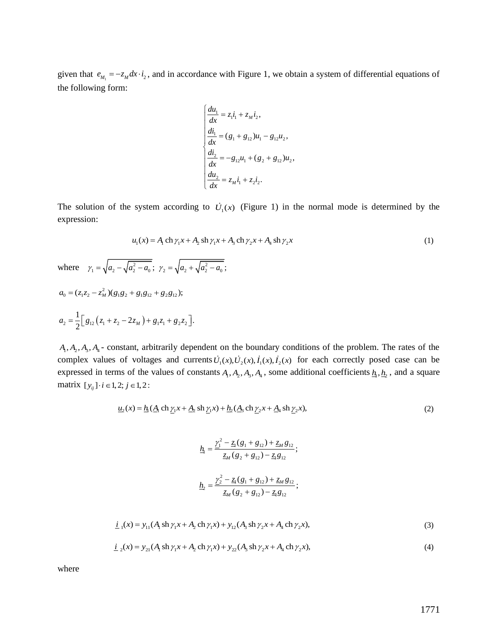given that  $e_{M_1} = -z_M dx \cdot i_2$ , and in accordance with Figure 1, we obtain a system of differential equations of the following form:

$$
\begin{cases}\n\frac{du_1}{dx} = z_1 i_1 + z_M i_2, \\
\frac{di_1}{dx} = (g_1 + g_{12})u_1 - g_{12}u_2, \\
\frac{di_2}{dx} = -g_{12}u_1 + (g_2 + g_{12})u_2, \\
\frac{du_2}{dx} = z_M i_1 + z_2 i_2.\n\end{cases}
$$

The solution of the system according to  $\dot{U}_1(x)$  (Figure 1) in the normal mode is determined by the expression:

$$
u_1(x) = A_1 \operatorname{ch} \gamma_1 x + A_2 \operatorname{sh} \gamma_1 x + A_3 \operatorname{ch} \gamma_2 x + A_4 \operatorname{sh} \gamma_2 x \tag{1}
$$

where  $\gamma_1 = \sqrt{a_2 - \sqrt{a_2^2 - a_0}}$ ;  $\gamma_2 = \sqrt{a_2 + \sqrt{a_2^2 - a_0}}$ ; 2  $a_0 = (z_1 z_2 - z_M^2)(g_1 g_2 + g_1 g_{12} + g_2 g_{12});$  $a_2 = \frac{1}{2} \Big[ g_{12} \Big( z_1 + z_2 - 2z_M \Big) + g_1 z_1 + g_2 z_2 \Big].$ 

 $A_1, A_2, A_3, A_4$  - constant, arbitrarily dependent on the boundary conditions of the problem. The rates of the complex values of voltages and currents  $\dot{U}_1(x), \dot{U}_2(x), \dot{I}_1(x), \dot{I}_2(x)$  for each correctly posed case can be expressed in terms of the values of constants  $A_1, A_2, A_3, A_4$ , some additional coefficients  $\underline{h}_1, \underline{h}_2$ , and a square matrix  $[y_{ij}] \cdot i \in 1, 2; j \in I, 2$ :

$$
\underline{u}_2(x) = \underline{h}_1(\underline{A}_1 \operatorname{ch} \underline{\gamma}_1 x + \underline{A}_2 \operatorname{sh} \underline{\gamma}_1 x) + \underline{h}_2(\underline{A}_3 \operatorname{ch} \underline{\gamma}_2 x + \underline{A}_4 \operatorname{sh} \underline{\gamma}_2 x),
$$
\n(2)

$$
\underline{h}_1 = \frac{\gamma_1^2 - \underline{z}_4 (g_1 + g_{12}) + \underline{z}_M g_{12}}{\underline{z}_M (g_2 + g_{12}) - \underline{z}_4 g_{12}};
$$
\n
$$
\underline{h}_2 = \frac{\gamma_2^2 - \underline{z}_4 (g_1 + g_{12}) + \underline{z}_M g_{12}}{\underline{z}_M (g_2 + g_{12}) - \underline{z}_4 g_{12}};
$$

$$
\underline{i}_{1}(x) = y_{11}(A_{1} \sin \gamma_{1} x + A_{2} \sin \gamma_{1} x) + y_{12}(A_{3} \sin \gamma_{2} x + A_{4} \sin \gamma_{2} x),
$$
\n(3)

(3)  
\n
$$
\underline{i}_{1}(x) = y_{11}(A_{1} \sin \gamma_{1} x + A_{2} \sin \gamma_{1} x) + y_{12}(A_{3} \sin \gamma_{2} x + A_{4} \sin \gamma_{2} x),
$$
\n(3)  
\n
$$
\underline{i}_{2}(x) = y_{21}(A_{1} \sin \gamma_{1} x + A_{2} \sin \gamma_{1} x) + y_{22}(A_{3} \sin \gamma_{2} x + A_{4} \sin \gamma_{2} x),
$$
\n(4)

where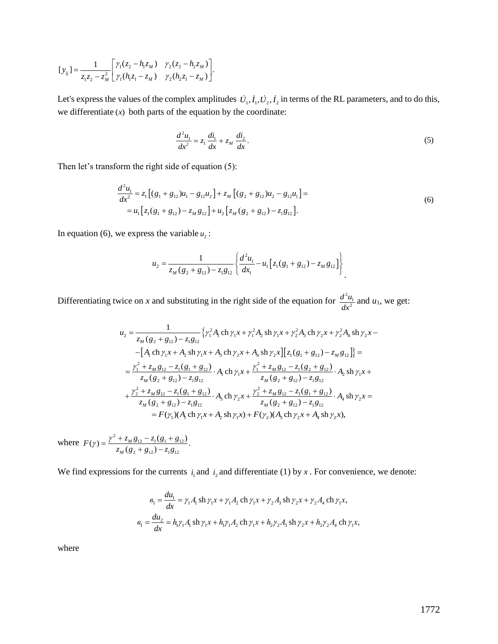$$
[y_{ij}] = \frac{1}{z_1 z_2 - z_M^2} \begin{bmatrix} \gamma_1 (z_2 - h_1 z_M) & \gamma_2 (z_2 - h_2 z_M) \\ \gamma_1 (h_1 z_1 - z_M) & \gamma_2 (h_2 z_1 - z_M) \end{bmatrix}.
$$

Let's express the values of the complex amplitudes  $\dot{U}_1, \dot{I}_1, \dot{U}_2, \dot{I}_2$  in terms of the RL parameters, and to do this, we differentiate  $(x)$  both parts of the equation by the coordinate:

$$
\frac{d^2 u_1}{dx^2} = z_1 \frac{di_1}{dx} + z_M \frac{di_2}{dx}.
$$
 (5)

Then let's transform the right side of equation (5):

$$
\frac{d^2 u_1}{dx^2} = z_1 [(g_1 + g_{12})u_1 - g_{12}u_2] + z_M [(g_2 + g_{12})u_2 - g_{12}u_1] =
$$
  
=  $u_1 [z_1(g_1 + g_{12}) - z_M g_{12}] + u_2 [z_M (g_2 + g_{12}) - z_1 g_{12}].$  (6)

In equation (6), we express the variable  $u_2$ :

$$
u_2 = \frac{1}{z_M (g_2 + g_{12}) - z_1 g_{12}} \left\{ \frac{d^2 u_1}{dx_1} - u_1 \left[ z_1 (g_1 + g_{12}) - z_M g_{12} \right] \right\}
$$

Differentiating twice on *x* and substituting in the right side of the equation for  $\frac{d^2u_1}{dx^2}$  $d^2u$  $\frac{d}{dx}$  and  $u_1$ , we get:

$$
V_1(z_2 - h_1z_0) \t Y_2(z_2 - h_2z_0) \t Y_3(z_2 - z_0) \t\ndi\phi_1 z_1 - z_0
$$
\nvalues of the complex amplitudes  $\vec{U}_1, \vec{I}_1, \vec{U}_2, \vec{I}_2$  in terms of the RL parameters, and to do this,  
\n $\lambda$ ) both parts of the equation by the coordinate:  
\n
$$
\frac{d^2u_1}{dx^2} = z_1 \frac{di_1}{dx} + z_0 \frac{di_2}{dx}.
$$
\n(5)  
\nform the right side of equation (5):  
\n
$$
-\frac{d^2u_1}{dx^2} = z_1 [(g_1 + g_{12})u_1 - g_{12}u_2] + z_0 [(g_2 + g_{12})u_2 - g_{12}u_1] =
$$
\n
$$
= u_1 [z_1(g_1 + g_{12}) - z_0 g_{12}] + u_2 [z_0 (g_2 + g_{12}) - z_0 g_{12}].
$$
\nwe express the variable  $u_2$ :  
\n
$$
u_2 = \frac{1}{z_M(g_2 + g_{12}) - z_0 g_{12}} \left\{ \frac{d^2u_1}{dx_1} - u_1 [z_1(g_1 + g_{12}) - z_M g_{12}] \right\}.
$$
\n
$$
= u_2 = \frac{1}{z_M(g_2 + g_{12}) - z_0 g_{12}} \left\{ \frac{d^2u_1}{dx_1} - u_1 [z_1(g_1 + g_{12}) - z_M g_{12}] \right\}.
$$
\n
$$
= \frac{1}{z_M(g_2 + g_{12}) - z_0 g_{12}} \left\{ r_1^2 A_1 \ln r_1 + r_1^2 A_2 \ln r_1 + r_2^2 A_3 \ln r_2 + r_2^2 A_4 \ln r_2 x -
$$
\n
$$
= \left[ A_1 \ln r_1 x + A_2 \ln r_1 x + r_2^2 A_3 \ln r_2 + r_2^2 A_4 \ln r_2 x -
$$
\n
$$
= \left[ A_1 \ln r_1 x + A_2 \ln r_1 x + r_2^2 A_3 \ln r_2 + r_2^2 A_4 \ln r_2 x -
$$
\

where  $F(\gamma) = \frac{\gamma^2 + z_M g_{12} - z_1 (g_1 + g_{12})}{\gamma}$  $(z + g_{12}) - z_1 g_{12}$  $(\gamma) = \frac{\gamma^2 + z_M g_{12} - z_1 (g_1 + g_{12})}{z_M (g_2 + g_{12}) - z_1 g_{12}}.$ *M*  $F(\gamma) = \frac{\gamma^2 + z_M g_{12} - z_1 (g_1 + g_2)}{g_2 - g_1 (g_2 + g_2)}$  $\chi(\gamma) = \frac{\gamma^2 + z_M g_{12} - z_1 (g_1 + g_{12})}{z_M (g_2 + g_{12}) - z_1 g_{12}}$ 

We find expressions for the currents  $i_1$  and  $i_2$  and differentiate (1) by x. For convenience, we denote:

$$
e_1 = \frac{du_1}{dx} = \gamma_1 A_1 \sin \gamma_1 x + \gamma_1 A_2 \sin \gamma_1 x + \gamma_2 A_3 \sin \gamma_2 x + \gamma_2 A_4 \sin \gamma_1 x,
$$
  

$$
e_1 = \frac{du_2}{dx} = h_1 \gamma_1 A_1 \sin \gamma_1 x + h_1 \gamma_1 A_2 \sin \gamma_1 x + h_2 \gamma_2 A_3 \sin \gamma_2 x + h_2 \gamma_2 A_4 \sin \gamma_1 x,
$$

where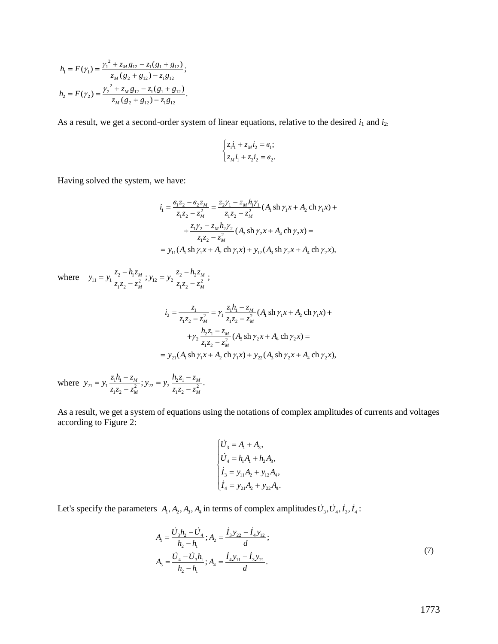$$
h_1 = F(\gamma_1) = \frac{\gamma_1^2 + z_M g_{12} - z_1 (g_1 + g_{12})}{z_M (g_2 + g_{12}) - z_1 g_{12}};
$$
  

$$
h_2 = F(\gamma_2) = \frac{\gamma_2^2 + z_M g_{12} - z_1 (g_1 + g_{12})}{z_M (g_2 + g_{12}) - z_1 g_{12}}.
$$

As a result, we get a second-order system of linear equations, relative to the desired  $i_1$  and  $i_2$ .

$$
\begin{cases} z_1 i_1 + z_M i_2 = e_1; \\ z_M i_1 + z_2 i_2 = e_2. \end{cases}
$$

Having solved the system, we have:

$$
i_1 = \frac{6_1 z_2 - 6_2 z_M}{z_1 z_2 - z_M^2} = \frac{z_2 \gamma_1 - z_M h_1 \gamma_1}{z_1 z_2 - z_M^2} (A_1 \sin \gamma_1 x + A_2 \ch \gamma_1 x) ++ \frac{z_1 \gamma_2 - z_M h_2 \gamma_2}{z_1 z_2 - z_M^2} (A_3 \sh \gamma_2 x + A_4 \ch \gamma_2 x) == y_{11} (A_1 \sh \gamma_1 x + A_2 \ch \gamma_1 x) + y_{12} (A_3 \sh \gamma_2 x + A_4 \ch \gamma_2 x),
$$

where  $y_{11} = y_1 \frac{z_2 - h_1 z_M}{z_1 z_2 - z_M^2}$ ;  $y_{12} = y_2 \frac{z_2 - h_2 z_M}{z_1 z_2 - z_M^2}$  $\frac{M}{2}$ ;  $y_{12} = y_2 \frac{z_2 - h_2 z_M}{z_2 - z_1^2}$ ;  $\frac{z}{M}$   $\frac{z_1}{z_1 z_2} - z_M^2$  $y_{11} = y_1 \frac{z_2 - h_1 z_M}{z_1 z_2 - z_M^2}$ ;  $y_{12} = y_2 \frac{z_2 - h_2 z_M}{z_1 z_2 - z_M^2}$ =  $y_1 \frac{z_2 - h_1 z_M}{z_1 z_2 - z_M^2}$ ;  $y_{12} = y_2 \frac{z_2 - h_2 z_M}{z_1 z_2 - z_M^2}$  $\gamma_2 = \frac{z_1}{z_1 z_2 - z_M^2} = \gamma_1 \frac{z_1 h_1 - z_M}{z_1 z_2 - z_M^2} (A_1 \sin \gamma_1 x + A_2 \sin \gamma_1 x)$  $z_1 z_2 - z_M$ <br>  $\frac{h_2 z_1 - z_M}{z_1 z_2 - z_M^2} (A_3 \sin \gamma_2 x + A_4 \ch \gamma_2 x)$  $+ \gamma_2 \frac{z_1 z_2 - z_M^2}{z_1 z_2 - z_M^2}$  (A<sub>3</sub> sh  $\gamma_2 x + A_4$  ch  $\gamma_2 x$ ) –<br>  $= y_{21} (A_1 \sin \gamma_1 x + A_2 \sin \gamma_1 x) + y_{22} (A_3 \sin \gamma_2 x + A_4 \sin \gamma_2 x)$ ,  $i_2 = \frac{z_1}{z_1 z_2 - z_M^2} = \gamma_1 \frac{z_1 h_1 - z_M}{z_1 z_2 - z_M^2} (A_1 \sin \gamma_1 x + A_2 \ch \gamma_1 x$ *M*  $\frac{z_M^2}{z_M^2 - z_M} z_{1} z_2 - z_M^2 \frac{(A_1 \sin \gamma_1 x + x_M)}{z_1 z_2 - z_M^2}$ <br>  $\frac{h_2 z_1 - z_M}{z_1 z_2 - z_M^2}$  (A<sub>3</sub> sh  $\gamma_2 x + A_4$  ch  $\gamma_2 x_M$  $\gamma_1 \frac{z_1 h_1 - z_M}{z z - z^2} (A_1 \, \text{sh} \, \gamma_1 x + A_2 \, \text{ch} \, \gamma_1 x) +$  $-z_M$   $z_1z_2 - z_M$ <br>  $\gamma_2 \frac{h_2z_1 - z_M}{z_1^2 - z_2^2}$   $(A_3 \sin \gamma_2 x + A_4 \ch \gamma_2 x) =$  $\overline{a}$ = $\frac{z_1}{z_1 z_2 - z_M^2} = \gamma_1 \frac{z_1 h_1 - z_M}{z_1 z_2 - z_M^2} (A_1 \sin \gamma_1 x + A_2 \ch \gamma_1 x) +$  $\overline{a}$  $z_2 = z_M$   $z_1 z_2 - z_M$ <br>+ $\gamma_2 \frac{h_2 z_1 - z_M}{z_1 z_2 - z_M^2}$  (A<sub>3</sub> sh  $\gamma_2 x + A_4$  ch  $\gamma_2 x$ ) =

where  $y_{21} = y_1 \frac{z_1 h_1 - z_M}{z_1 z_2 - z_M^2}$ ;  $y_{22} = y_2 \frac{h_2 z_1 - z_M}{z_1 z_2 - z_M^2}$  $\frac{M}{2}$ ;  $y_{22} = y_2 \frac{h_2 z_1 - z_M}{1 - z_2}$ .  $\frac{z}{M}$   $\frac{z}{Z_1}z_2 - z_M^2$  $y_{21} = y_1 \frac{z_1 h_1 - z_M}{z_1 z_2 - z_M^2}$ ;  $y_{22} = y_2 \frac{h_2 z_1 - z_M}{z_1 z_2 - z_M^2}$ =  $y_1 \frac{z_1 h_1 - z_M}{z_1 z_2 - z_M^2}$ ;  $y_{22} = y_2 \frac{h_2 z_1 - z_M}{z_1 z_2 - z_M^2}$ 

As a result, we get a system of equations using the notations of complex amplitudes of currents and voltages according to Figure 2:

$$
\begin{cases}\n\dot{U}_3 = A_1 + A_3, \\
\dot{U}_4 = h_1 A_1 + h_2 A_3, \\
\dot{I}_3 = y_{11} A_2 + y_{12} A_4, \\
\dot{I}_4 = y_{21} A_2 + y_{22} A_4.\n\end{cases}
$$

Let's specify the parameters  $A_1, A_2, A_3, A_4$  in terms of complex amplitudes  $\dot{U}_3, \dot{U}_4, \dot{I}_3, \dot{I}_4$ :

$$
A_1 = \frac{\dot{U}_3 h_2 - \dot{U}_4}{h_2 - h_1}; A_2 = \frac{\dot{I}_3 y_{22} - \dot{I}_4 y_{12}}{d};
$$
  

$$
A_3 = \frac{\dot{U}_4 - \dot{U}_3 h_1}{h_2 - h_1}; A_4 = \frac{\dot{I}_4 y_{11} - \dot{I}_3 y_{21}}{d}.
$$
 (7)

1773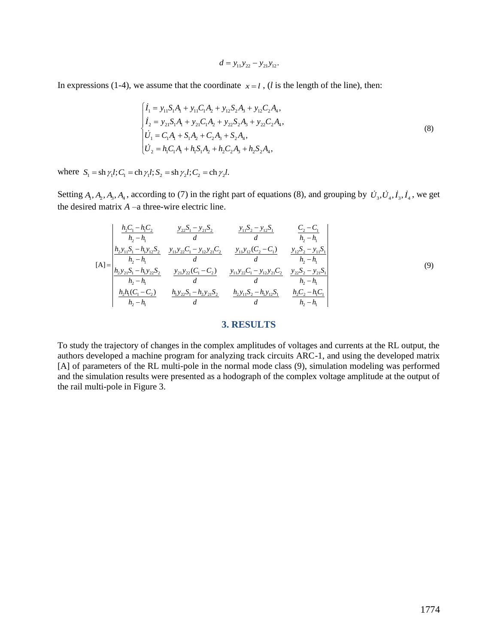$$
d = y_{11}y_{22} - y_{21}y_{12}.
$$

In expressions (1-4), we assume that the coordinate  $x = l$ , (*l* is the length of the line), then:

$$
\begin{cases}\n\dot{I}_1 = y_{11}S_1A_1 + y_{11}C_1A_2 + y_{12}S_2A_3 + y_{12}C_2A_4, \\
\dot{I}_2 = y_{21}S_1A_1 + y_{21}C_1A_2 + y_{22}S_2A_3 + y_{22}C_2A_4, \\
\dot{U}_1 = C_1A_1 + S_1A_2 + C_2A_3 + S_2A_4, \\
\dot{U}_2 = h_1C_1A_1 + h_1S_1A_2 + h_2C_2A_3 + h_2S_2A_4,\n\end{cases}
$$
\n(8)

where  $S_1 = \frac{\sin \gamma_1 l}{c_1} = \frac{\cosh \gamma_1 l}{c_2} = \frac{\sin \gamma_2 l}{c_2} = \frac{\cosh \gamma_2 l}{c_1}$ .

Setting  $A_1, A_2, A_3, A_4$ , according to (7) in the right part of equations (8), and grouping by  $U_3, U_4, I_3, I_4$ , we get the desired matrix *A* –a three-wire electric line.

$$
[A] = \begin{vmatrix} \frac{h_2C_1 - h_1C_2}{h_2 - h_1} & \frac{y_{22}S_1 - y_{21}S_2}{d} & \frac{y_{11}S_2 - y_{12}S_1}{d} & \frac{C_2 - C_1}{h_2 - h_1} \\ \frac{h_2y_{11}S_1 - h_1y_{12}S_2}{h_2 - h_1} & \frac{y_{11}y_{22}C_1 - y_{12}y_{21}C_2}{d} & \frac{y_{11}y_{12}(C_2 - C_1)}{d} & \frac{y_{12}S_2 - y_{11}S_1}{h_2 - h_1} \\ \frac{h_2y_{21}S_1 - h_1y_{22}S_2}{h_2 - h_1} & \frac{y_{21}y_{22}(C_1 - C_2)}{d} & \frac{y_{11}y_{22}C_1 - y_{12}y_{21}C_2}{d} & \frac{y_{22}S_2 - y_{21}S_1}{h_2 - h_1} \\ \frac{h_2h_1(C_1 - C_2)}{h_2 - h_1} & \frac{h_1y_{22}S_1 - h_2y_{21}S_2}{d} & \frac{h_2y_{11}S_2 - h_1y_{12}S_1}{d} & \frac{h_2C_2 - h_1C_1}{h_2 - h_1} \end{vmatrix}
$$
\n(9)

#### **3. RESULTS**

To study the trajectory of changes in the complex amplitudes of voltages and currents at the RL output, the authors developed a machine program for analyzing track circuits ARC-1, and using the developed matrix [A] of parameters of the RL multi-pole in the normal mode class (9), simulation modeling was performed and the simulation results were presented as a hodograph of the complex voltage amplitude at the output of the rail multi-pole in Figure 3.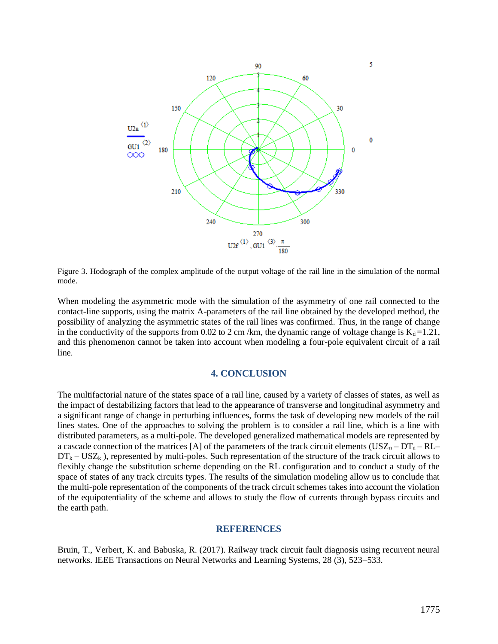

Figure 3. Hodograph of the complex amplitude of the output voltage of the rail line in the simulation of the normal mode.

When modeling the asymmetric mode with the simulation of the asymmetry of one rail connected to the contact-line supports, using the matrix A-parameters of the rail line obtained by the developed method, the possibility of analyzing the asymmetric states of the rail lines was confirmed. Thus, in the range of change in the conductivity of the supports from 0.02 to 2 cm /km, the dynamic range of voltage change is  $K_d = 1.21$ , and this phenomenon cannot be taken into account when modeling a four-pole equivalent circuit of a rail line.

#### **4. CONCLUSION**

The multifactorial nature of the states space of a rail line, caused by a variety of classes of states, as well as the impact of destabilizing factors that lead to the appearance of transverse and longitudinal asymmetry and a significant range of change in perturbing influences, forms the task of developing new models of the rail lines states. One of the approaches to solving the problem is to consider a rail line, which is a line with distributed parameters, as a multi-pole. The developed generalized mathematical models are represented by a cascade connection of the matrices [A] of the parameters of the track circuit elements  $(USZ_n - DT_n - RL DT_k - USZ_k$ ), represented by multi-poles. Such representation of the structure of the track circuit allows to flexibly change the substitution scheme depending on the RL configuration and to conduct a study of the space of states of any track circuits types. The results of the simulation modeling allow us to conclude that the multi-pole representation of the components of the track circuit schemes takes into account the violation of the equipotentiality of the scheme and allows to study the flow of currents through bypass circuits and the earth path.

#### **REFERENCES**

Bruin, T., Verbert, K. and Babuska, R. (2017). Railway track circuit fault diagnosis using recurrent neural networks. IEEE Transactions on Neural Networks and Learning Systems, 28 (3), 523–533.